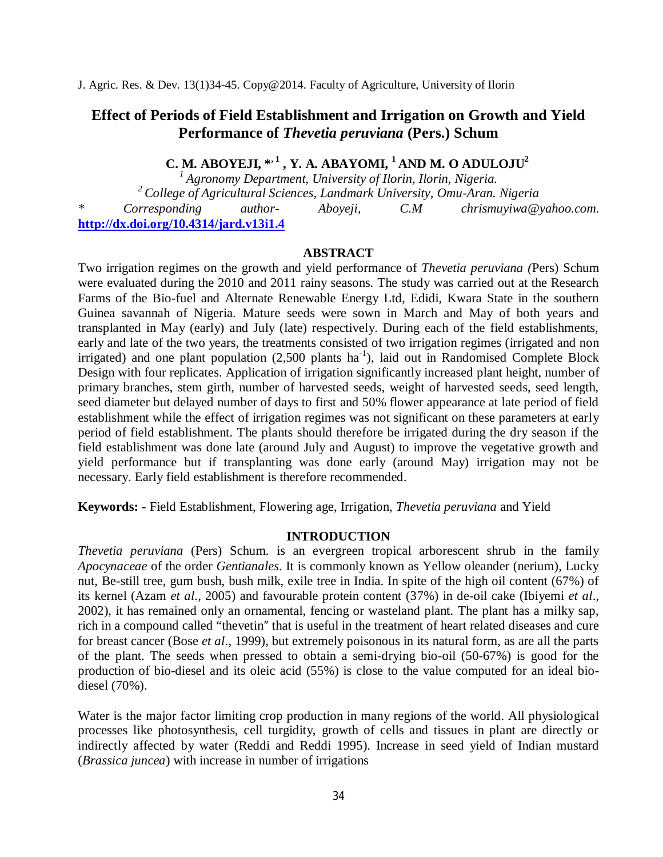J. Agric. Res. & Dev. 13(1)34-45. Copy@2014. Faculty of Agriculture, University of Ilorin

# **Effect of Periods of Field Establishment and Irrigation on Growth and Yield Performance of** *Thevetia peruviana* **(Pers.) Schum**

 **C. M. ABOYEJI, \*, 1 , Y. A. ABAYOMI, <sup>1</sup>AND M. O ADULOJU<sup>2</sup>**

*<sup>1</sup>Agronomy Department, University of Ilorin, Ilorin, Nigeria.* <sup>2</sup> College of Agricultural Sciences, Landmark University, Omu-Aran. Nigeria<br>Corresponding author- Aboyeji, C.M chrismuyiwa@ *author- Aboyeji, C.M chrismuyiwa@yahoo.com.* **http://dx.doi.org/10.4314/jard.v13i1.4**

#### **ABSTRACT**

Two irrigation regimes on the growth and yield performance of *Thevetia peruviana (*Pers) Schum were evaluated during the 2010 and 2011 rainy seasons. The study was carried out at the Research Farms of the Bio-fuel and Alternate Renewable Energy Ltd, Edidi, Kwara State in the southern Guinea savannah of Nigeria. Mature seeds were sown in March and May of both years and transplanted in May (early) and July (late) respectively. During each of the field establishments, early and late of the two years, the treatments consisted of two irrigation regimes (irrigated and non irrigated) and one plant population  $(2,500 \text{ plants ha}^{-1})$ , laid out in Randomised Complete Block Design with four replicates. Application of irrigation significantly increased plant height, number of primary branches, stem girth, number of harvested seeds, weight of harvested seeds, seed length, seed diameter but delayed number of days to first and 50% flower appearance at late period of field establishment while the effect of irrigation regimes was not significant on these parameters at early period of field establishment. The plants should therefore be irrigated during the dry season if the field establishment was done late (around July and August) to improve the vegetative growth and yield performance but if transplanting was done early (around May) irrigation may not be necessary. Early field establishment is therefore recommended.

**Keywords: -** Field Establishment, Flowering age, Irrigation, *Thevetia peruviana* and Yield

### **INTRODUCTION**

*Thevetia peruviana* (Pers) Schum. is an evergreen tropical arborescent shrub in the family *Apocynaceae* of the order *Gentianales*. It is commonly known as Yellow oleander (nerium), Lucky nut, Be-still tree, gum bush, bush milk, exile tree in India. In spite of the high oil content (67%) of its kernel (Azam *et al*., 2005) and favourable protein content (37%) in de-oil cake (Ibiyemi *et al*., 2002), it has remained only an ornamental, fencing or wasteland plant. The plant has a milky sap, rich in a compound called "thevetin" that is useful in the treatment of heart related diseases and cure for breast cancer (Bose *et al*., 1999), but extremely poisonous in its natural form, as are all the parts of the plant. The seeds when pressed to obtain a semi-drying bio-oil (50-67%) is good for the production of bio-diesel and its oleic acid (55%) is close to the value computed for an ideal biodiesel (70%).

Water is the major factor limiting crop production in many regions of the world. All physiological processes like photosynthesis, cell turgidity, growth of cells and tissues in plant are directly or indirectly affected by water (Reddi and Reddi 1995). Increase in seed yield of Indian mustard (*Brassica juncea*) with increase in number of irrigations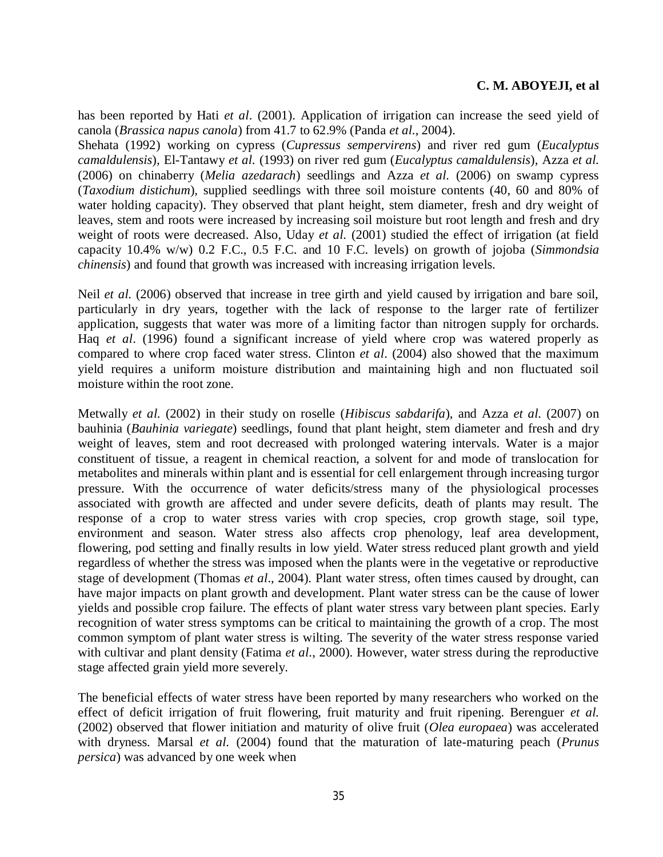has been reported by Hati *et al*. (2001). Application of irrigation can increase the seed yield of canola (*Brassica napus canola*) from 41.7 to 62.9% (Panda *et al*., 2004).

Shehata (1992) working on cypress (*Cupressus sempervirens*) and river red gum (*Eucalyptus camaldulensis*)*,* El-Tantawy *et al.* (1993) on river red gum (*Eucalyptus camaldulensis*)*,* Azza *et al.*  (2006) on chinaberry (*Melia azedarach*) seedlings and Azza *et al.* (2006) on swamp cypress (*Taxodium distichum*)*,* supplied seedlings with three soil moisture contents (40, 60 and 80% of water holding capacity). They observed that plant height, stem diameter, fresh and dry weight of leaves, stem and roots were increased by increasing soil moisture but root length and fresh and dry weight of roots were decreased. Also, Uday et al. (2001) studied the effect of irrigation (at field capacity 10.4% w/w) 0.2 F.C., 0.5 F.C. and 10 F.C. levels) on growth of jojoba (*Simmondsia chinensis*) and found that growth was increased with increasing irrigation levels.

Neil *et al.* (2006) observed that increase in tree girth and yield caused by irrigation and bare soil, particularly in dry years, together with the lack of response to the larger rate of fertilizer application, suggests that water was more of a limiting factor than nitrogen supply for orchards. Haq *et al*. (1996) found a significant increase of yield where crop was watered properly as compared to where crop faced water stress. Clinton *et al*. (2004) also showed that the maximum yield requires a uniform moisture distribution and maintaining high and non fluctuated soil moisture within the root zone.

Metwally *et al.* (2002) in their study on roselle (*Hibiscus sabdarifa*), and Azza *et al.* (2007) on bauhinia (*Bauhinia variegate*) seedlings, found that plant height, stem diameter and fresh and dry weight of leaves, stem and root decreased with prolonged watering intervals. Water is a major constituent of tissue, a reagent in chemical reaction, a solvent for and mode of translocation for metabolites and minerals within plant and is essential for cell enlargement through increasing turgor pressure. With the occurrence of water deficits/stress many of the physiological processes associated with growth are affected and under severe deficits, death of plants may result. The response of a crop to water stress varies with crop species, crop growth stage, soil type, environment and season. Water stress also affects crop phenology, leaf area development, flowering, pod setting and finally results in low yield. Water stress reduced plant growth and yield regardless of whether the stress was imposed when the plants were in the vegetative or reproductive stage of development (Thomas *et al*., 2004). Plant water stress, often times caused by drought, can have major impacts on plant growth and development. Plant water stress can be the cause of lower yields and possible crop failure. The effects of plant water stress vary between plant species. Early recognition of water stress symptoms can be critical to maintaining the growth of a crop. The most common symptom of plant water stress is wilting. The severity of the water stress response varied with cultivar and plant density (Fatima *et al*., 2000). However, water stress during the reproductive stage affected grain yield more severely.

The beneficial effects of water stress have been reported by many researchers who worked on the effect of deficit irrigation of fruit flowering, fruit maturity and fruit ripening. Berenguer *et al.* (2002) observed that flower initiation and maturity of olive fruit (*Olea europaea*) was accelerated with dryness. Marsal *et al.* (2004) found that the maturation of late-maturing peach (*Prunus persica*) was advanced by one week when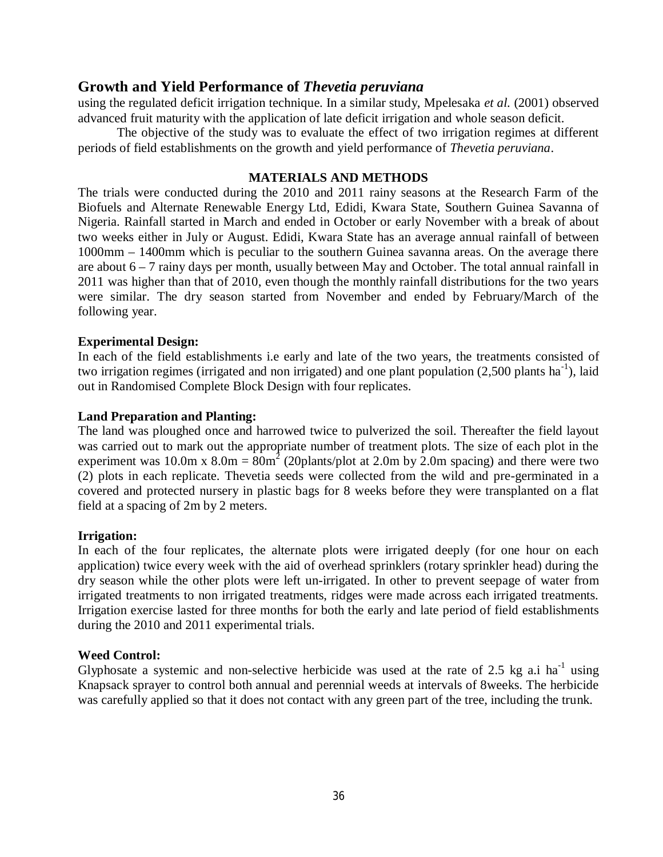using the regulated deficit irrigation technique. In a similar study, Mpelesaka *et al.* (2001) observed advanced fruit maturity with the application of late deficit irrigation and whole season deficit.

The objective of the study was to evaluate the effect of two irrigation regimes at different periods of field establishments on the growth and yield performance of *Thevetia peruviana*.

#### **MATERIALS AND METHODS**

The trials were conducted during the 2010 and 2011 rainy seasons at the Research Farm of the Biofuels and Alternate Renewable Energy Ltd, Edidi, Kwara State, Southern Guinea Savanna of Nigeria. Rainfall started in March and ended in October or early November with a break of about two weeks either in July or August. Edidi, Kwara State has an average annual rainfall of between 1000mm – 1400mm which is peculiar to the southern Guinea savanna areas. On the average there are about 6 – 7 rainy days per month, usually between May and October. The total annual rainfall in 2011 was higher than that of 2010, even though the monthly rainfall distributions for the two years were similar. The dry season started from November and ended by February/March of the following year.

### **Experimental Design:**

In each of the field establishments i.e early and late of the two years, the treatments consisted of two irrigation regimes (irrigated and non irrigated) and one plant population (2,500 plants ha<sup>-1</sup>), laid out in Randomised Complete Block Design with four replicates.

#### **Land Preparation and Planting:**

The land was ploughed once and harrowed twice to pulverized the soil. Thereafter the field layout was carried out to mark out the appropriate number of treatment plots. The size of each plot in the experiment was 10.0m x  $8.0$ m =  $80$ m<sup>2</sup> (20 plants/plot at 2.0m by 2.0m spacing) and there were two (2) plots in each replicate. Thevetia seeds were collected from the wild and pre-germinated in a covered and protected nursery in plastic bags for 8 weeks before they were transplanted on a flat field at a spacing of 2m by 2 meters.

### **Irrigation:**

In each of the four replicates, the alternate plots were irrigated deeply (for one hour on each application) twice every week with the aid of overhead sprinklers (rotary sprinkler head) during the dry season while the other plots were left un-irrigated. In other to prevent seepage of water from irrigated treatments to non irrigated treatments, ridges were made across each irrigated treatments. Irrigation exercise lasted for three months for both the early and late period of field establishments during the 2010 and 2011 experimental trials.

### **Weed Control:**

Glyphosate a systemic and non-selective herbicide was used at the rate of 2.5 kg a.i ha<sup>-1</sup> using Knapsack sprayer to control both annual and perennial weeds at intervals of 8weeks. The herbicide was carefully applied so that it does not contact with any green part of the tree, including the trunk.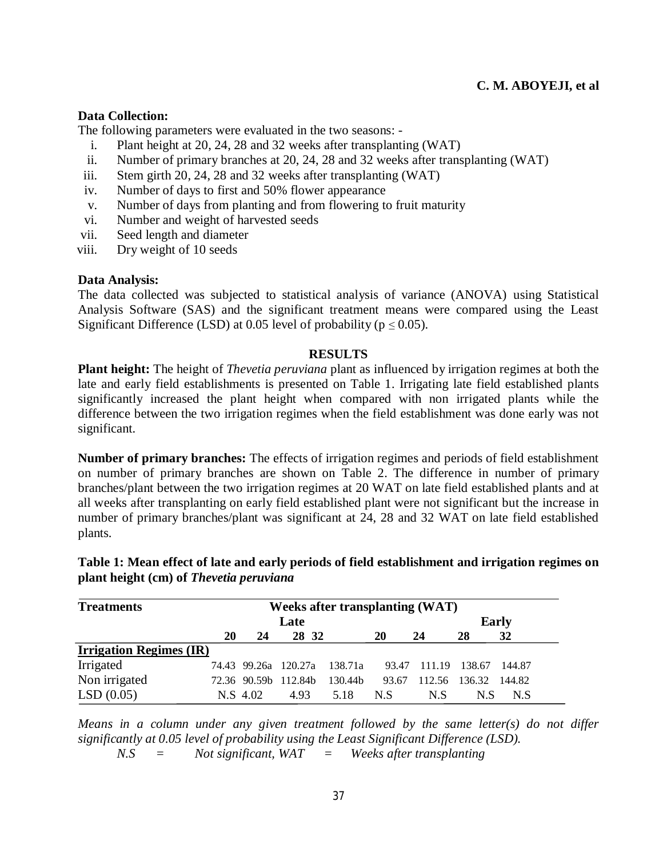### **Data Collection:**

The following parameters were evaluated in the two seasons: -

- i. Plant height at 20, 24, 28 and 32 weeks after transplanting (WAT)
- ii. Number of primary branches at 20, 24, 28 and 32 weeks after transplanting (WAT)
- iii. Stem girth 20, 24, 28 and 32 weeks after transplanting (WAT)
- iv. Number of days to first and 50% flower appearance
- v. Number of days from planting and from flowering to fruit maturity
- vi. Number and weight of harvested seeds
- vii. Seed length and diameter
- viii. Dry weight of 10 seeds

### **Data Analysis:**

The data collected was subjected to statistical analysis of variance (ANOVA) using Statistical Analysis Software (SAS) and the significant treatment means were compared using the Least Significant Difference (LSD) at 0.05 level of probability ( $p \le 0.05$ ).

### **RESULTS**

**Plant height:** The height of *Thevetia peruviana* plant as influenced by irrigation regimes at both the late and early field establishments is presented on Table 1. Irrigating late field established plants significantly increased the plant height when compared with non irrigated plants while the difference between the two irrigation regimes when the field establishment was done early was not significant.

**Number of primary branches:** The effects of irrigation regimes and periods of field establishment on number of primary branches are shown on Table 2. The difference in number of primary branches/plant between the two irrigation regimes at 20 WAT on late field established plants and at all weeks after transplanting on early field established plant were not significant but the increase in number of primary branches/plant was significant at 24, 28 and 32 WAT on late field established plants.

| <b>Treatments</b>              |    | <b>Weeks after transplanting (WAT)</b> |                      |         |       |        |              |        |  |
|--------------------------------|----|----------------------------------------|----------------------|---------|-------|--------|--------------|--------|--|
|                                |    |                                        | Late                 |         |       |        | <b>Early</b> |        |  |
|                                | 20 | 24                                     | 28 32                |         | 20    | 24     | 28           | 32     |  |
| <b>Irrigation Regimes (IR)</b> |    |                                        |                      |         |       |        |              |        |  |
| Irrigated                      |    |                                        | 74.43 99.26a 120.27a | 138.71a | 93.47 | 111.19 | 138.67       | 144.87 |  |
| Non irrigated                  |    |                                        | 72.36 90.59b 112.84b | 130.44b | 93.67 | 112.56 | 136.32       | 144.82 |  |
| LSD(0.05)                      |    | N.S. 4.02                              | 4.93                 | 5.18    | N.S   | N.S    | N.S          | N.S    |  |

**Table 1: Mean effect of late and early periods of field establishment and irrigation regimes on plant height (cm) of** *Thevetia peruviana*

*Means in a column under any given treatment followed by the same letter(s) do not differ significantly at 0.05 level of probability using the Least Significant Difference (LSD).*

*N.S = Not significant, WAT = Weeks after transplanting*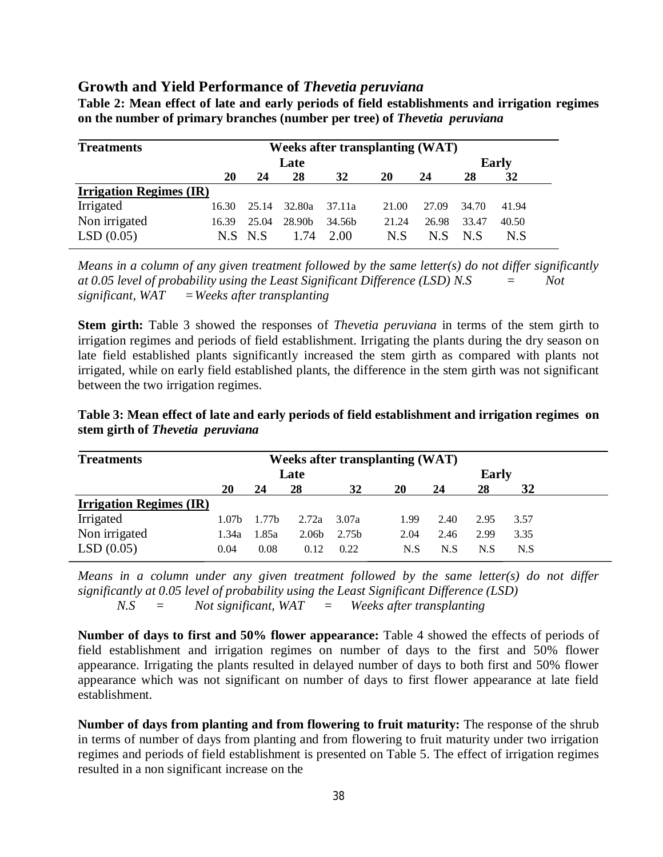| Table 2: Mean effect of late and early periods of field establishments and irrigation regimes |  |  |  |
|-----------------------------------------------------------------------------------------------|--|--|--|
| on the number of primary branches (number per tree) of Thevetia peruviana                     |  |  |  |

| <b>Treatments</b>              |       |       |                    | <b>Weeks after transplanting (WAT)</b> |       |       |       |              |
|--------------------------------|-------|-------|--------------------|----------------------------------------|-------|-------|-------|--------------|
|                                |       |       | Late               |                                        |       |       |       | <b>Early</b> |
|                                | 20    | 24    | 28                 | 32                                     | 20    | 24    | 28    | 32           |
| <b>Irrigation Regimes (IR)</b> |       |       |                    |                                        |       |       |       |              |
| Irrigated                      | 16.30 | 25.14 | 32.80a             | 37.11a                                 | 21.00 | 27.09 | 34.70 | 41.94        |
| Non irrigated                  | 16.39 | 25.04 | 28.90 <sub>b</sub> | 34.56 <sub>b</sub>                     | 21.24 | 26.98 | 33.47 | 40.50        |
| LSD(0.05)                      | N.S.  | N.S   | 1.74               | 2.00                                   | N.S   | N.S.  | N.S   | N.S          |

*Means in a column of any given treatment followed by the same letter(s) do not differ significantly at 0.05 level of probability using the Least Significant Difference (LSD) N.S = Not significant, WAT =Weeks after transplanting*

**Stem girth:** Table 3 showed the responses of *Thevetia peruviana* in terms of the stem girth to irrigation regimes and periods of field establishment. Irrigating the plants during the dry season on late field established plants significantly increased the stem girth as compared with plants not irrigated, while on early field established plants, the difference in the stem girth was not significant between the two irrigation regimes.

| <b>Treatments</b>              |                   |                   |                   |                   | <b>Weeks after transplanting (WAT)</b> |      |              |      |  |
|--------------------------------|-------------------|-------------------|-------------------|-------------------|----------------------------------------|------|--------------|------|--|
|                                |                   |                   | Late              |                   |                                        |      | <b>Early</b> |      |  |
|                                | 20                | 24                | 28                | 32                | 20                                     | 24   | 28           | 32   |  |
| <b>Irrigation Regimes (IR)</b> |                   |                   |                   |                   |                                        |      |              |      |  |
| Irrigated                      | 1.07 <sub>b</sub> | 1.77 <sub>b</sub> | 2.72a             | 3.07a             | 1.99                                   | 2.40 | 2.95         | 3.57 |  |
| Non irrigated                  | 1.34a             | 1.85a             | 2.06 <sub>b</sub> | 2.75 <sub>b</sub> | 2.04                                   | 2.46 | 2.99         | 3.35 |  |
| LSD(0.05)                      | 0.04              | 0.08              | 0.12              | 0.22              | N.S                                    | N.S  | N.S          | N.S  |  |

**Table 3: Mean effect of late and early periods of field establishment and irrigation regimes on stem girth of** *Thevetia peruviana*

*Means in a column under any given treatment followed by the same letter(s) do not differ significantly at 0.05 level of probability using the Least Significant Difference (LSD) N.S = Not significant, WAT = Weeks after transplanting*

**Number of days to first and 50% flower appearance:** Table 4 showed the effects of periods of field establishment and irrigation regimes on number of days to the first and 50% flower appearance. Irrigating the plants resulted in delayed number of days to both first and 50% flower appearance which was not significant on number of days to first flower appearance at late field establishment.

**Number of days from planting and from flowering to fruit maturity:** The response of the shrub in terms of number of days from planting and from flowering to fruit maturity under two irrigation regimes and periods of field establishment is presented on Table 5. The effect of irrigation regimes resulted in a non significant increase on the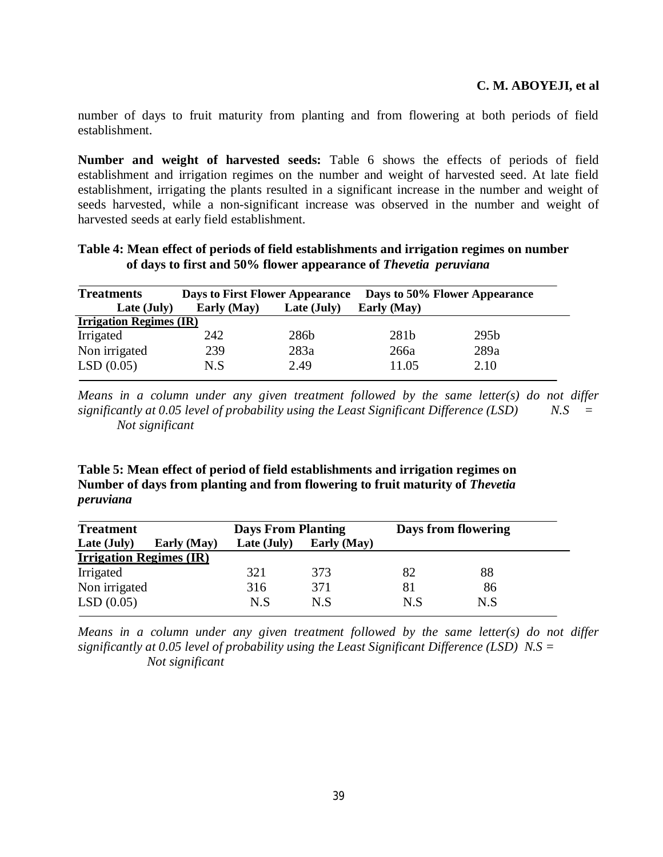number of days to fruit maturity from planting and from flowering at both periods of field establishment.

**Number and weight of harvested seeds:** Table 6 shows the effects of periods of field establishment and irrigation regimes on the number and weight of harvested seed. At late field establishment, irrigating the plants resulted in a significant increase in the number and weight of seeds harvested, while a non-significant increase was observed in the number and weight of harvested seeds at early field establishment.

| <b>Treatments</b>              | <b>Days to First Flower Appearance</b> |             |             | Days to 50% Flower Appearance |
|--------------------------------|----------------------------------------|-------------|-------------|-------------------------------|
| Late (July)                    | Early (May)                            | Late (July) | Early (May) |                               |
| <b>Irrigation Regimes (IR)</b> |                                        |             |             |                               |
| Irrigated                      | 242                                    | 286b        | 281b        | 295b                          |
| Non irrigated                  | 239                                    | 283a        | 266a        | 289a                          |
| LSD(0.05)                      | N.S                                    | 2.49        | 11.05       | 2.10                          |

**Table 4: Mean effect of periods of field establishments and irrigation regimes on number of days to first and 50% flower appearance of** *Thevetia peruviana* 

*Means in a column under any given treatment followed by the same letter(s) do not differ significantly at 0.05 level of probability using the Least Significant Difference (LSD) N.S = Not significant* 

**Table 5: Mean effect of period of field establishments and irrigation regimes on Number of days from planting and from flowering to fruit maturity of** *Thevetia peruviana* 

| <b>Treatment</b>               | <b>Days From Planting</b> |             | Days from flowering |     |  |
|--------------------------------|---------------------------|-------------|---------------------|-----|--|
| Late (July)<br>Early (May)     | Late (July)               | Early (May) |                     |     |  |
| <b>Irrigation Regimes (IR)</b> |                           |             |                     |     |  |
| Irrigated                      | 321                       | 373         | 82                  | 88  |  |
| Non irrigated                  | 316                       | 371         | 81                  | 86  |  |
| LSD(0.05)                      | N.S                       | N.S         | N.S                 | N.S |  |

*Means in a column under any given treatment followed by the same letter(s) do not differ significantly at 0.05 level of probability using the Least Significant Difference (LSD) N.S = Not significant*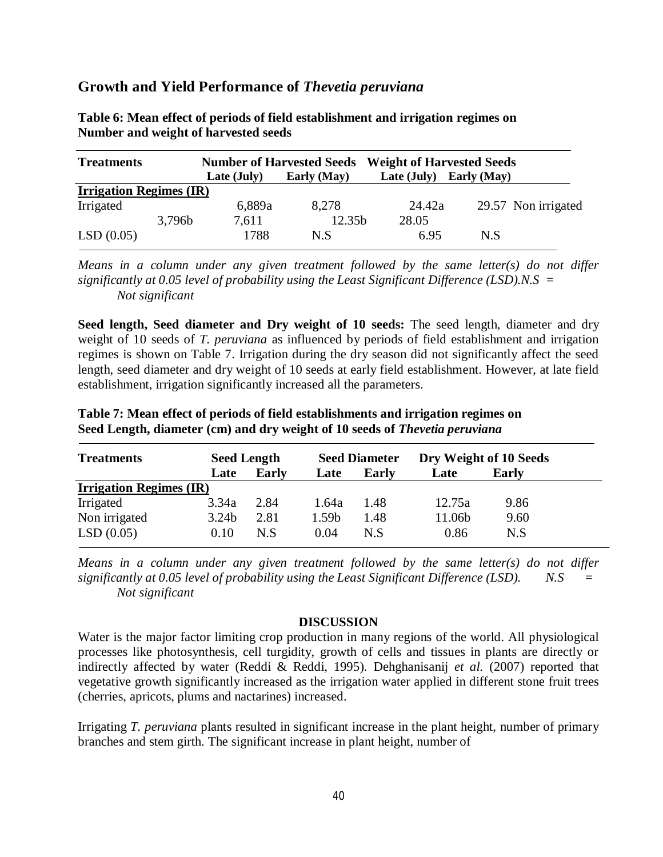| <b>Treatments</b>              |        |             | <b>Number of Harvested Seeds</b> | <b>Weight of Harvested Seeds</b> |                     |
|--------------------------------|--------|-------------|----------------------------------|----------------------------------|---------------------|
|                                |        | Late (July) | Early (May)                      | Late (July)                      | Early (May)         |
| <b>Irrigation Regimes (IR)</b> |        |             |                                  |                                  |                     |
| Irrigated                      |        | 6,889a      | 8,278                            | 24.42a                           | 29.57 Non irrigated |
|                                | 3,796b | 7,611       | 12.35b                           | 28.05                            |                     |
| LSD(0.05)                      |        | 1788        | N.S                              | 6.95                             | N.S                 |

**Table 6: Mean effect of periods of field establishment and irrigation regimes on Number and weight of harvested seeds** 

*Means in a column under any given treatment followed by the same letter(s) do not differ significantly at 0.05 level of probability using the Least Significant Difference (LSD).N.S = Not significant*

**Seed length, Seed diameter and Dry weight of 10 seeds:** The seed length, diameter and dry weight of 10 seeds of *T. peruviana* as influenced by periods of field establishment and irrigation regimes is shown on Table 7. Irrigation during the dry season did not significantly affect the seed length, seed diameter and dry weight of 10 seeds at early field establishment. However, at late field establishment, irrigation significantly increased all the parameters.

| <b>Treatments</b>              | <b>Seed Length</b> |              | <b>Seed Diameter</b> |       | Dry Weight of 10 Seeds |       |
|--------------------------------|--------------------|--------------|----------------------|-------|------------------------|-------|
|                                | Late               | <b>Early</b> | Late                 | Early | Late                   | Early |
| <b>Irrigation Regimes (IR)</b> |                    |              |                      |       |                        |       |
| Irrigated                      | 3.34a              | 2.84         | 1.64a                | 1.48  | 12.75a                 | 9.86  |
| Non irrigated                  | 3.24 <sub>b</sub>  | 2.81         | 1.59b                | 1.48  | 11.06b                 | 9.60  |
| LSD(0.05)                      | 0.10               | N.S          | 0.04                 | N.S   | 0.86                   | N.S   |

**Table 7: Mean effect of periods of field establishments and irrigation regimes on Seed Length, diameter (cm) and dry weight of 10 seeds of** *Thevetia peruviana* 

*Means in a column under any given treatment followed by the same letter(s) do not differ significantly at 0.05 level of probability using the Least Significant Difference (LSD). N.S = Not significant*

### **DISCUSSION**

Water is the major factor limiting crop production in many regions of the world. All physiological processes like photosynthesis, cell turgidity, growth of cells and tissues in plants are directly or indirectly affected by water (Reddi & Reddi, 1995). Dehghanisanij *et al.* (2007) reported that vegetative growth significantly increased as the irrigation water applied in different stone fruit trees (cherries, apricots, plums and nactarines) increased.

Irrigating *T. peruviana* plants resulted in significant increase in the plant height, number of primary branches and stem girth. The significant increase in plant height, number of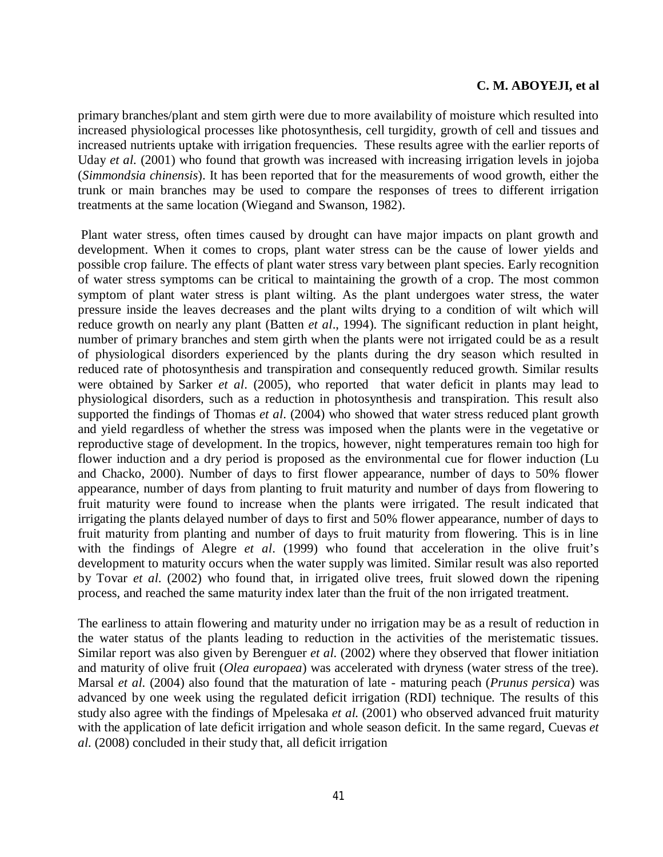primary branches/plant and stem girth were due to more availability of moisture which resulted into increased physiological processes like photosynthesis, cell turgidity, growth of cell and tissues and increased nutrients uptake with irrigation frequencies. These results agree with the earlier reports of Uday *et al.* (2001) who found that growth was increased with increasing irrigation levels in jojoba (*Simmondsia chinensis*). It has been reported that for the measurements of wood growth, either the trunk or main branches may be used to compare the responses of trees to different irrigation treatments at the same location (Wiegand and Swanson, 1982).

Plant water stress, often times caused by drought can have major impacts on plant growth and development. When it comes to crops, plant water stress can be the cause of lower yields and possible crop failure. The effects of plant water stress vary between plant species. Early recognition of water stress symptoms can be critical to maintaining the growth of a crop. The most common symptom of plant water stress is plant wilting. As the plant undergoes water stress, the water pressure inside the leaves decreases and the plant wilts drying to a condition of wilt which will reduce growth on nearly any plant (Batten *et al*., 1994). The significant reduction in plant height, number of primary branches and stem girth when the plants were not irrigated could be as a result of physiological disorders experienced by the plants during the dry season which resulted in reduced rate of photosynthesis and transpiration and consequently reduced growth. Similar results were obtained by Sarker *et al*. (2005), who reported that water deficit in plants may lead to physiological disorders, such as a reduction in photosynthesis and transpiration. This result also supported the findings of Thomas *et al*. (2004) who showed that water stress reduced plant growth and yield regardless of whether the stress was imposed when the plants were in the vegetative or reproductive stage of development. In the tropics, however, night temperatures remain too high for flower induction and a dry period is proposed as the environmental cue for flower induction (Lu and Chacko, 2000). Number of days to first flower appearance, number of days to 50% flower appearance, number of days from planting to fruit maturity and number of days from flowering to fruit maturity were found to increase when the plants were irrigated. The result indicated that irrigating the plants delayed number of days to first and 50% flower appearance, number of days to fruit maturity from planting and number of days to fruit maturity from flowering. This is in line with the findings of Alegre *et al*. (1999) who found that acceleration in the olive fruit's development to maturity occurs when the water supply was limited. Similar result was also reported by Tovar *et al*. (2002) who found that, in irrigated olive trees, fruit slowed down the ripening process, and reached the same maturity index later than the fruit of the non irrigated treatment.

The earliness to attain flowering and maturity under no irrigation may be as a result of reduction in the water status of the plants leading to reduction in the activities of the meristematic tissues. Similar report was also given by Berenguer *et al.* (2002) where they observed that flower initiation and maturity of olive fruit (*Olea europaea*) was accelerated with dryness (water stress of the tree). Marsal *et al.* (2004) also found that the maturation of late - maturing peach (*Prunus persica*) was advanced by one week using the regulated deficit irrigation (RDI) technique. The results of this study also agree with the findings of Mpelesaka *et al.* (2001) who observed advanced fruit maturity with the application of late deficit irrigation and whole season deficit. In the same regard, Cuevas *et al*. (2008) concluded in their study that, all deficit irrigation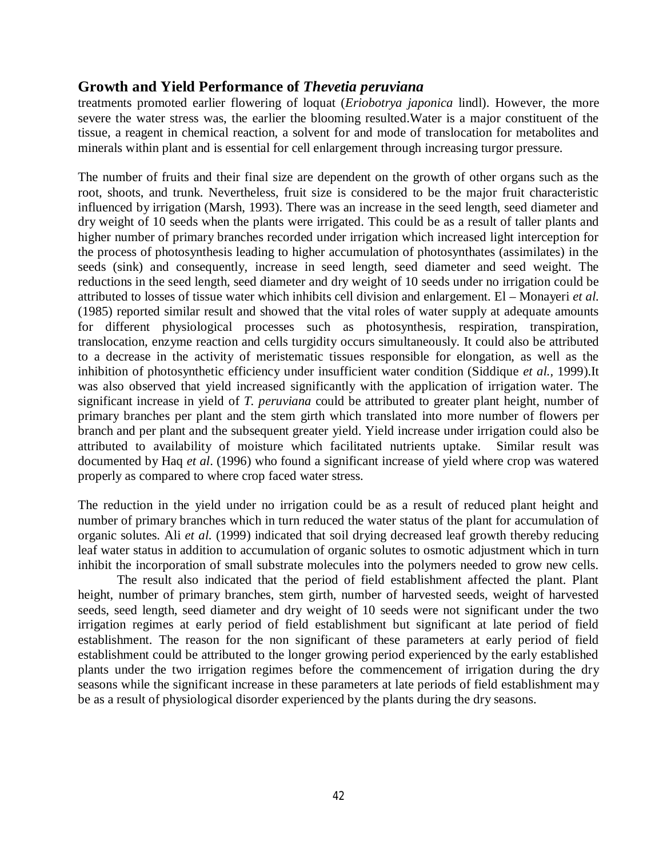treatments promoted earlier flowering of loquat (*Eriobotrya japonica* lindl). However, the more severe the water stress was, the earlier the blooming resulted.Water is a major constituent of the tissue, a reagent in chemical reaction, a solvent for and mode of translocation for metabolites and minerals within plant and is essential for cell enlargement through increasing turgor pressure.

The number of fruits and their final size are dependent on the growth of other organs such as the root, shoots, and trunk. Nevertheless, fruit size is considered to be the major fruit characteristic influenced by irrigation (Marsh, 1993). There was an increase in the seed length, seed diameter and dry weight of 10 seeds when the plants were irrigated. This could be as a result of taller plants and higher number of primary branches recorded under irrigation which increased light interception for the process of photosynthesis leading to higher accumulation of photosynthates (assimilates) in the seeds (sink) and consequently, increase in seed length, seed diameter and seed weight. The reductions in the seed length, seed diameter and dry weight of 10 seeds under no irrigation could be attributed to losses of tissue water which inhibits cell division and enlargement. El – Monayeri *et al.*  (1985) reported similar result and showed that the vital roles of water supply at adequate amounts for different physiological processes such as photosynthesis, respiration, transpiration, translocation, enzyme reaction and cells turgidity occurs simultaneously. It could also be attributed to a decrease in the activity of meristematic tissues responsible for elongation, as well as the inhibition of photosynthetic efficiency under insufficient water condition (Siddique *et al.,* 1999).It was also observed that yield increased significantly with the application of irrigation water. The significant increase in yield of *T. peruviana* could be attributed to greater plant height, number of primary branches per plant and the stem girth which translated into more number of flowers per branch and per plant and the subsequent greater yield. Yield increase under irrigation could also be attributed to availability of moisture which facilitated nutrients uptake. Similar result was documented by Haq *et al*. (1996) who found a significant increase of yield where crop was watered properly as compared to where crop faced water stress.

The reduction in the yield under no irrigation could be as a result of reduced plant height and number of primary branches which in turn reduced the water status of the plant for accumulation of organic solutes. Ali *et al.* (1999) indicated that soil drying decreased leaf growth thereby reducing leaf water status in addition to accumulation of organic solutes to osmotic adjustment which in turn inhibit the incorporation of small substrate molecules into the polymers needed to grow new cells.

The result also indicated that the period of field establishment affected the plant. Plant height, number of primary branches, stem girth, number of harvested seeds, weight of harvested seeds, seed length, seed diameter and dry weight of 10 seeds were not significant under the two irrigation regimes at early period of field establishment but significant at late period of field establishment. The reason for the non significant of these parameters at early period of field establishment could be attributed to the longer growing period experienced by the early established plants under the two irrigation regimes before the commencement of irrigation during the dry seasons while the significant increase in these parameters at late periods of field establishment may be as a result of physiological disorder experienced by the plants during the dry seasons.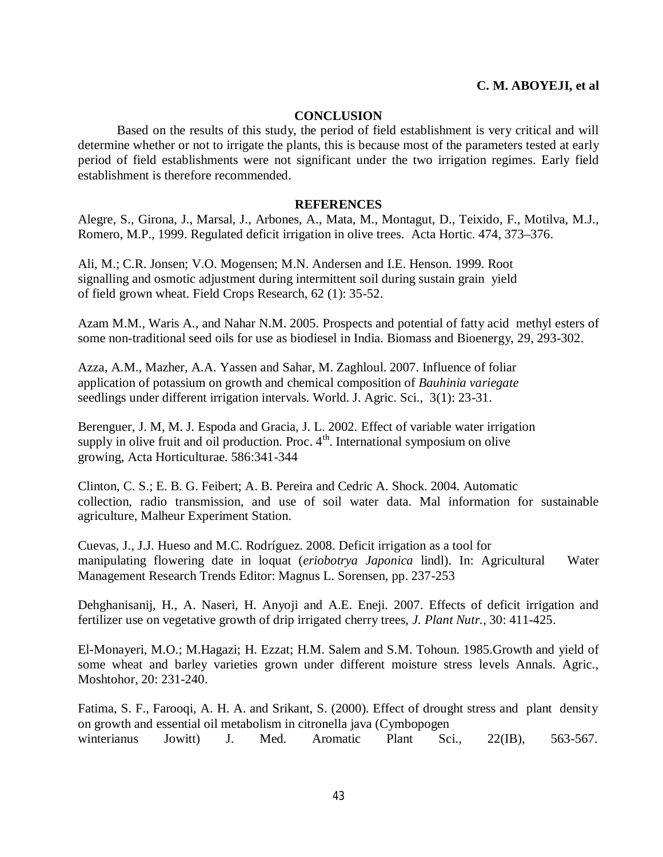#### **CONCLUSION**

Based on the results of this study, the period of field establishment is very critical and will determine whether or not to irrigate the plants, this is because most of the parameters tested at early period of field establishments were not significant under the two irrigation regimes. Early field establishment is therefore recommended.

#### **REFERENCES**

Alegre, S., Girona, J., Marsal, J., Arbones, A., Mata, M., Montagut, D., Teixido, F., Motilva, M.J., Romero, M.P., 1999. Regulated deficit irrigation in olive trees. Acta Hortic. 474, 373–376.

Ali, M.; C.R. Jonsen; V.O. Mogensen; M.N. Andersen and I.E. Henson. 1999. Root signalling and osmotic adjustment during intermittent soil during sustain grain yield of field grown wheat. Field Crops Research, 62 (1): 35-52.

Azam M.M., Waris A., and Nahar N.M. 2005. Prospects and potential of fatty acid methyl esters of some non-traditional seed oils for use as biodiesel in India. Biomass and Bioenergy, 29, 293-302.

Azza, A.M., Mazher, A.A. Yassen and Sahar, M. Zaghloul. 2007. Influence of foliar application of potassium on growth and chemical composition of *Bauhinia variegate* seedlings under different irrigation intervals. World. J. Agric. Sci., 3(1): 23-31.

Berenguer, J. M, M. J. Espoda and Gracia, J. L. 2002. Effect of variable water irrigation supply in olive fruit and oil production. Proc.  $4<sup>th</sup>$ . International symposium on olive growing, Acta Horticulturae. 586:341-344

Clinton, C. S.; E. B. G. Feibert; A. B. Pereira and Cedric A. Shock. 2004. Automatic collection, radio transmission, and use of soil water data. Mal information for sustainable agriculture, Malheur Experiment Station.

Cuevas, J., J.J. Hueso and M.C. Rodríguez. 2008. Deficit irrigation as a tool for manipulating flowering date in loquat (*eriobotrya Japonica* lindl). In: Agricultural Water Management Research Trends Editor: Magnus L. Sorensen, pp. 237-253

Dehghanisanij, H., A. Naseri, H. Anyoji and A.E. Eneji. 2007. Effects of deficit irrigation and fertilizer use on vegetative growth of drip irrigated cherry trees, *J. Plant Nutr.*, 30: 411-425.

El-Monayeri, M.O.; M.Hagazi; H. Ezzat; H.M. Salem and S.M. Tohoun. 1985.Growth and yield of some wheat and barley varieties grown under different moisture stress levels Annals. Agric., Moshtohor, 20: 231-240.

Fatima, S. F., Farooqi, A. H. A. and Srikant, S. (2000). Effect of drought stress and plant density on growth and essential oil metabolism in citronella java (Cymbopogen winterianus Jowitt) J. Med. Aromatic Plant Sci., 22(IB), 563-567.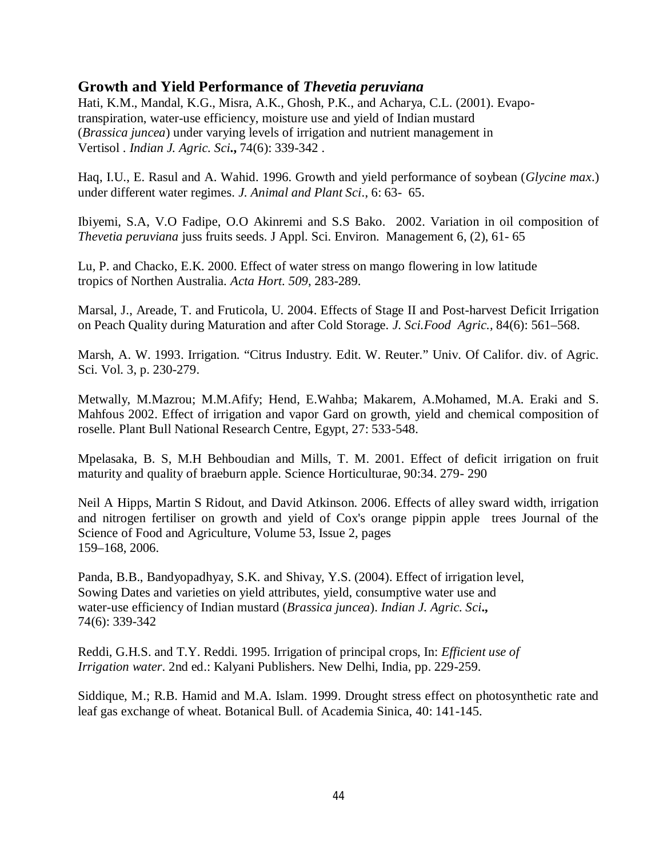Hati, K.M., Mandal, K.G., Misra, A.K., Ghosh, P.K., and Acharya, C.L. (2001). Evapotranspiration, water-use efficiency, moisture use and yield of Indian mustard (*Brassica juncea*) under varying levels of irrigation and nutrient management in Vertisol . *Indian J. Agric. Sci***.,** 74(6): 339-342 .

Haq, I.U., E. Rasul and A. Wahid. 1996. Growth and yield performance of soybean (*Glycine max*.) under different water regimes. *J. Animal and Plant Sci*., 6: 63- 65.

Ibiyemi, S.A, V.O Fadipe, O.O Akinremi and S.S Bako. 2002. Variation in oil composition of *Thevetia peruviana* juss fruits seeds. J Appl. Sci. Environ. Management 6, (2), 61- 65

Lu, P. and Chacko, E.K. 2000. Effect of water stress on mango flowering in low latitude tropics of Northen Australia. *Acta Hort. 509*, 283-289.

Marsal, J., Areade, T. and Fruticola, U. 2004. Effects of Stage II and Post-harvest Deficit Irrigation on Peach Quality during Maturation and after Cold Storage. *J. Sci.Food Agric.,* 84(6): 561–568.

Marsh, A. W. 1993. Irrigation. "Citrus Industry. Edit. W. Reuter." Univ. Of Califor. div. of Agric. Sci. Vol. 3, p. 230-279.

Metwally, M.Mazrou; M.M.Afify; Hend, E.Wahba; Makarem, A.Mohamed, M.A. Eraki and S. Mahfous 2002. Effect of irrigation and vapor Gard on growth, yield and chemical composition of roselle. Plant Bull National Research Centre, Egypt, 27: 533-548.

Mpelasaka, B. S, M.H Behboudian and Mills, T. M. 2001. Effect of deficit irrigation on fruit maturity and quality of braeburn apple. Science Horticulturae, 90:34. 279- 290

Neil A Hipps, Martin S Ridout, and David Atkinson. 2006. Effects of alley sward width, irrigation and nitrogen fertiliser on growth and yield of Cox's orange pippin apple trees Journal of the Science of Food and Agriculture, Volume 53, Issue 2, pages 159–168, 2006.

Panda, B.B., Bandyopadhyay, S.K. and Shivay, Y.S. (2004). Effect of irrigation level, Sowing Dates and varieties on yield attributes, yield, consumptive water use and water-use efficiency of Indian mustard (*Brassica juncea*). *Indian J. Agric. Sci***.,** 74(6): 339-342

Reddi, G.H.S. and T.Y. Reddi. 1995. Irrigation of principal crops, In: *Efficient use of Irrigation water*. 2nd ed.: Kalyani Publishers. New Delhi, India, pp. 229-259.

Siddique, M.; R.B. Hamid and M.A. Islam. 1999. Drought stress effect on photosynthetic rate and leaf gas exchange of wheat. Botanical Bull. of Academia Sinica, 40: 141-145.